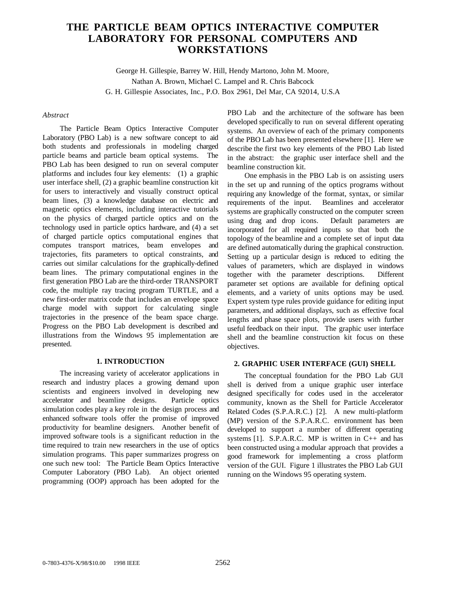# **THE PARTICLE BEAM OPTICS INTERACTIVE COMPUTER LABORATORY FOR PERSONAL COMPUTERS AND WORKSTATIONS**

George H. Gillespie, Barrey W. Hill, Hendy Martono, John M. Moore, Nathan A. Brown, Michael C. Lampel and R. Chris Babcock G. H. Gillespie Associates, Inc., P.O. Box 2961, Del Mar, CA 92014, U.S.A

# *Abstract*

The Particle Beam Optics Interactive Computer Laboratory (PBO Lab) is a new software concept to aid both students and professionals in modeling charged particle beams and particle beam optical systems. The PBO Lab has been designed to run on several computer platforms and includes four key elements: (1) a graphic user interface shell, (2) a graphic beamline construction kit for users to interactively and visually construct optical beam lines, (3) a knowledge database on electric and magnetic optics elements, including interactive tutorials on the physics of charged particle optics and on the technology used in particle optics hardware, and (4) a set of charged particle optics computational engines that computes transport matrices, beam envelopes and trajectories, fits parameters to optical constraints, and carries out similar calculations for the graphically-defined beam lines. The primary computational engines in the first generation PBO Lab are the third-order TRANSPORT code, the multiple ray tracing program TURTLE, and a new first-order matrix code that includes an envelope space charge model with support for calculating single trajectories in the presence of the beam space charge. Progress on the PBO Lab development is described and illustrations from the Windows 95 implementation are presented.

### **1. INTRODUCTION**

The increasing variety of accelerator applications in research and industry places a growing demand upon scientists and engineers involved in developing new accelerator and beamline designs. Particle optics simulation codes play a key role in the design process and enhanced software tools offer the promise of improved productivity for beamline designers. Another benefit of improved software tools is a significant reduction in the time required to train new researchers in the use of optics simulation programs. This paper summarizes progress on one such new tool: The Particle Beam Optics Interactive Computer Laboratory (PBO Lab). An object oriented programming (OOP) approach has been adopted for the PBO Lab and the architecture of the software has been developed specifically to run on several different operating systems. An overview of each of the primary components of the PBO Lab has been presented elsewhere [1]. Here we describe the first two key elements of the PBO Lab listed in the abstract: the graphic user interface shell and the beamline construction kit.

One emphasis in the PBO Lab is on assisting users in the set up and running of the optics programs without requiring any knowledge of the format, syntax, or similar requirements of the input. Beamlines and accelerator systems are graphically constructed on the computer screen using drag and drop icons. Default parameters are incorporated for all required inputs so that both the topology of the beamline and a complete set of input data are defined automatically during the graphical construction. Setting up a particular design is reduced to editing the values of parameters, which are displayed in windows together with the parameter descriptions. Different parameter set options are available for defining optical elements, and a variety of units options may be used. Expert system type rules provide guidance for editing input parameters, and additional displays, such as effective focal lengths and phase space plots, provide users with further useful feedback on their input. The graphic user interface shell and the beamline construction kit focus on these objectives.

#### **2. GRAPHIC USER INTERFACE (GUI) SHELL**

The conceptual foundation for the PBO Lab GUI shell is derived from a unique graphic user interface designed specifically for codes used in the accelerator community, known as the Shell for Particle Accelerator Related Codes (S.P.A.R.C.) [2]. A new multi-platform (MP) version of the S.P.A.R.C. environment has been developed to support a number of different operating systems [1]. S.P.A.R.C. MP is written in  $C_{++}$  and has been constructed using a modular approach that provides a good framework for implementing a cross platform version of the GUI. Figure 1 illustrates the PBO Lab GUI running on the Windows 95 operating system.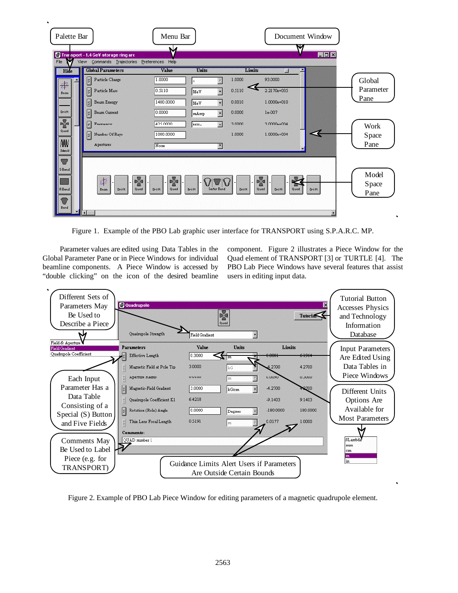| Palette Bar                                                                                                |                                                                 | Menu Bar           |                                   |        |                    | Document Window |           |
|------------------------------------------------------------------------------------------------------------|-----------------------------------------------------------------|--------------------|-----------------------------------|--------|--------------------|-----------------|-----------|
| N<br>EOK<br>Transport - 1.4 GeV storage ring arc<br>View Commands Trajectories<br>Preferences Help<br>File |                                                                 |                    |                                   |        |                    |                 |           |
| Hide                                                                                                       | <b>Global Parameters</b>                                        | Value              | Units                             | Limits | 88                 |                 |           |
|                                                                                                            | Particle Charge<br> s                                           | 1.0000             | $\overline{\mathbf{r}}$           | 1.0000 | 93,0000            |                 | Global    |
| 多彩<br>Beam                                                                                                 | Particle Mass<br> s                                             | 0.5110             | F<br>MeV                          | 0.5110 | 2.2170e+005        |                 | Parameter |
|                                                                                                            | s <br><b>Beam Energy</b>                                        | 1400.0000          | $\blacksquare$<br>MeV             | 0.0010 | 1.0000e+010        |                 | Pane      |
| Drift                                                                                                      | $\lceil s \rceil$<br><b>Beam Current</b>                        | 0.0000             | $\overline{\phantom{a}}$<br>mAmp  | 0.0000 | $le-007$           |                 |           |
| ę.                                                                                                         | $\vert$ s<br>Frequency                                          | 425.0000           | $\blacksquare$<br>MH <sub>a</sub> | 3.0000 | 3.0000e+004        |                 | Work      |
| Quad                                                                                                       | $\sqrt{s}$<br>Number Of Rays                                    | 1000.0000          |                                   | 1.0000 | 1.0000e+004        | ⋖               | Space     |
| WW                                                                                                         | Apertures                                                       | None               | $\overline{\phantom{a}}$          |        |                    |                 | Pane      |
| Salenoid                                                                                                   |                                                                 |                    |                                   |        |                    |                 |           |
| S-Bend                                                                                                     |                                                                 |                    |                                   |        |                    |                 |           |
|                                                                                                            | ż.                                                              | Ø.                 |                                   |        |                    |                 | Model     |
| <b>R</b> -Bend                                                                                             | $\frac{\partial^2}{\partial x^2}$<br>羉<br>Quad<br>Drift<br>Beam | 飍<br>Quad<br>Drift | Sector Bend<br>Drift              | Drift  | M<br>Quad<br>Drift | Quad<br>Drift   | Space     |
|                                                                                                            |                                                                 |                    |                                   |        |                    |                 | Pane      |
| Bend                                                                                                       | $\overline{ }$                                                  |                    |                                   |        |                    |                 |           |
|                                                                                                            |                                                                 |                    |                                   |        |                    |                 |           |

Figure 1. Example of the PBO Lab graphic user interface for TRANSPORT using S.P.A.R.C. MP.

Parameter values are edited using Data Tables in the Global Parameter Pane or in Piece Windows for individual beamline components. A Piece Window is accessed by "double clicking" on the icon of the desired beamline component. Figure 2 illustrates a Piece Window for the Quad element of TRANSPORT [3] or TURTLE [4]. The PBO Lab Piece Windows have several features that assist users in editing input data.



Figure 2. Example of PBO Lab Piece Window for editing parameters of a magnetic quadrupole element.